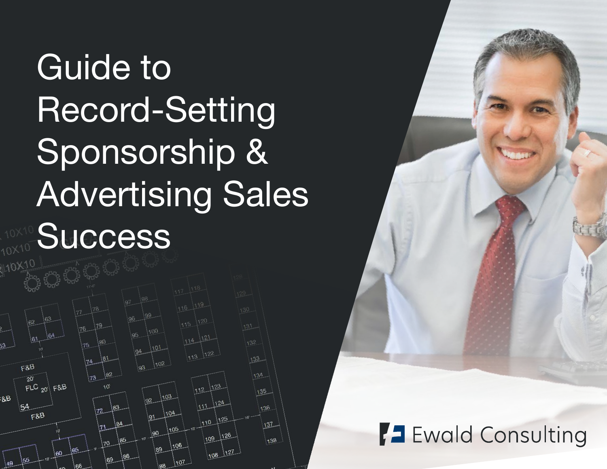# Guide to Record-Setting Sponsorship & Advertising Sales **Success**





# **7 Ewald Consulting**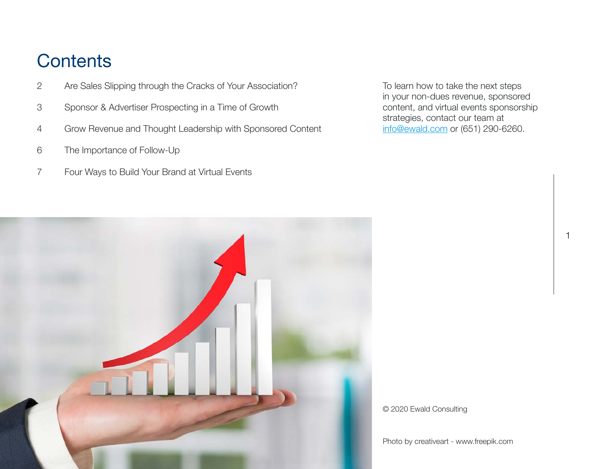## **Contents**

- 2 [Are Sales Slipping through the Cracks of Your Association?](#page-2-0)
- 3 [Sponsor & Advertiser Prospecting in a Time of Growth](#page-3-0)
- 4 [Grow Revenue and Thought Leadership with Sponsored Content](#page-4-0)
- 6 [The Importance of Follow-Up](#page-6-0)
- 7 [Four Ways to Build Your Brand at Virtual Events](#page-7-0)

To learn how to take the next steps in your non-dues revenue, sponsored content, and virtual events sponsorship strategies, contact our team at info@ewald.com or (651) 290-6260.

1



© 2020 Ewald Consulting

Photo by creativeart - www.freepik.com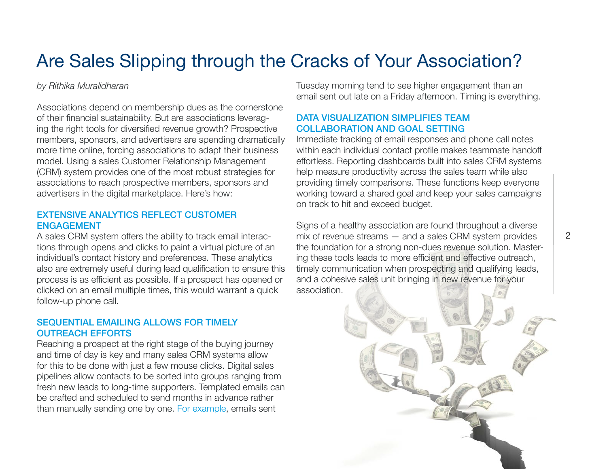# <span id="page-2-0"></span>Are Sales Slipping through the Cracks of Your Association?

#### *by Rithika Muralidharan*

Associations depend on membership dues as the cornerstone of their financial sustainability. But are associations leveraging the right tools for diversified revenue growth? Prospective members, sponsors, and advertisers are spending dramatically more time online, forcing associations to adapt their business model. Using a sales Customer Relationship Management (CRM) system provides one of the most robust strategies for associations to reach prospective members, sponsors and advertisers in the digital marketplace. Here's how:

#### EXTENSIVE ANALYTICS REFLECT CUSTOMER ENGAGEMENT

A sales CRM system offers the ability to track email interactions through opens and clicks to paint a virtual picture of an individual's contact history and preferences. These analytics also are extremely useful during lead qualification to ensure this process is as efficient as possible. If a prospect has opened or clicked on an email multiple times, this would warrant a quick follow-up phone call.

#### SEQUENTIAL EMAILING ALLOWS FOR TIMELY OUTREACH EFFORTS

Reaching a prospect at the right stage of the buying journey and time of day is key and many sales CRM systems allow for this to be done with just a few mouse clicks. Digital sales pipelines allow contacts to be sorted into groups ranging from fresh new leads to long-time supporters. Templated emails can be crafted and scheduled to send months in advance rather than manually sending one by one. [For example,](https://blog.hubspot.com/marketing/best-time-to-send-email) emails sent

Tuesday morning tend to see higher engagement than an email sent out late on a Friday afternoon. Timing is everything.

#### DATA VISUALIZATION SIMPLIFIES TEAM COLLABORATION AND GOAL SETTING

Immediate tracking of email responses and phone call notes within each individual contact profile makes teammate handoff effortless. Reporting dashboards built into sales CRM systems help measure productivity across the sales team while also providing timely comparisons. These functions keep everyone working toward a shared goal and keep your sales campaigns on track to hit and exceed budget.

Signs of a healthy association are found throughout a diverse mix of revenue streams — and a sales CRM system provides the foundation for a strong non-dues revenue solution. Mastering these tools leads to more efficient and effective outreach, timely communication when prospecting and qualifying leads, and a cohesive sales unit bringing in new revenue for your association.

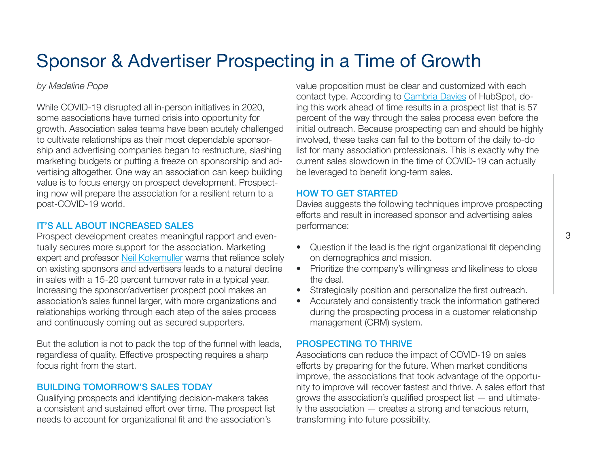# <span id="page-3-0"></span>Sponsor & Advertiser Prospecting in a Time of Growth

#### *by Madeline Pope*

While COVID-19 disrupted all in-person initiatives in 2020, some associations have turned crisis into opportunity for growth. Association sales teams have been acutely challenged to cultivate relationships as their most dependable sponsorship and advertising companies began to restructure, slashing marketing budgets or putting a freeze on sponsorship and advertising altogether. One way an association can keep building value is to focus energy on prospect development. Prospecting now will prepare the association for a resilient return to a post-COVID-19 world.

#### IT'S ALL ABOUT INCREASED SALES

Prospect development creates meaningful rapport and eventually secures more support for the association. Marketing expert and professor [Neil Kokemuller](https://smallbusiness.chron.com/benefits-sales-prospecting-63931.html) warns that reliance solely on existing sponsors and advertisers leads to a natural decline in sales with a 15-20 percent turnover rate in a typical year. Increasing the sponsor/advertiser prospect pool makes an association's sales funnel larger, with more organizations and relationships working through each step of the sales process and continuously coming out as secured supporters.

But the solution is not to pack the top of the funnel with leads, regardless of quality. Effective prospecting requires a sharp focus right from the start.

#### BUILDING TOMORROW'S SALES TODAY

Qualifying prospects and identifying decision-makers takes a consistent and sustained effort over time. The prospect list needs to account for organizational fit and the association's

value proposition must be clear and customized with each contact type. According to [Cambria Davies](https://blog.hubspot.com/sales/prospecting) of HubSpot, doing this work ahead of time results in a prospect list that is 57 percent of the way through the sales process even before the initial outreach. Because prospecting can and should be highly involved, these tasks can fall to the bottom of the daily to-do list for many association professionals. This is exactly why the current sales slowdown in the time of COVID-19 can actually be leveraged to benefit long-term sales.

#### HOW TO GET STARTED

Davies suggests the following techniques improve prospecting efforts and result in increased sponsor and advertising sales performance:

- Question if the lead is the right organizational fit depending on demographics and mission.
- Prioritize the company's willingness and likeliness to close the deal.
- Strategically position and personalize the first outreach.
- Accurately and consistently track the information gathered during the prospecting process in a customer relationship management (CRM) system.

#### PROSPECTING TO THRIVE

Associations can reduce the impact of COVID-19 on sales efforts by preparing for the future. When market conditions improve, the associations that took advantage of the opportunity to improve will recover fastest and thrive. A sales effort that grows the association's qualified prospect list — and ultimately the association — creates a strong and tenacious return, transforming into future possibility.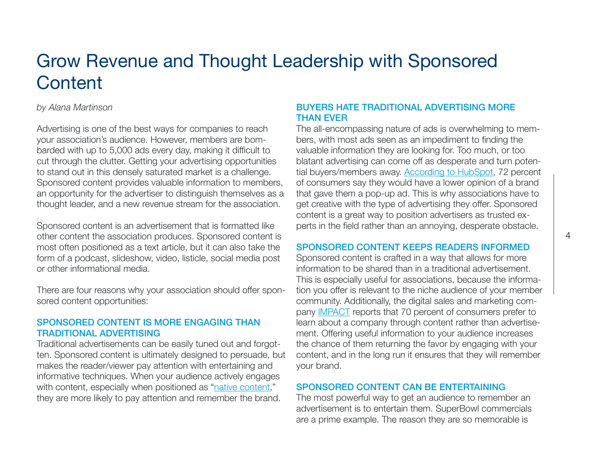## <span id="page-4-0"></span>Grow Revenue and Thought Leadership with Sponsored **Content**

#### *by Alana Martinson*

Advertising is one of the best ways for companies to reach your association's audience. However, members are bombarded with up to 5,000 ads every day, making it difficult to cut through the clutter. Getting your advertising opportunities to stand out in this densely saturated market is a challenge. Sponsored content provides valuable information to members, an opportunity for the advertiser to distinguish themselves as a thought leader, and a new revenue stream for the association.

Sponsored content is an advertisement that is formatted like other content the association produces. Sponsored content is most often positioned as a text article, but it can also take the form of a podcast, slideshow, video, listicle, social media post or other informational media.

There are four reasons why your association should offer sponsored content opportunities:

#### SPONSORED CONTENT IS MORE ENGAGING THAN TRADITIONAL ADVERTISING

Traditional advertisements can be easily tuned out and forgotten. Sponsored content is ultimately designed to persuade, but makes the reader/viewer pay attention with entertaining and informative techniques. When your audience actively engages with content, especially when positioned as ["native content](https://blog.hubspot.com/marketing/native-advertising-rises-as-consumers-opt-out)," they are more likely to pay attention and remember the brand.

#### BUYERS HATE TRADITIONAL ADVERTISING MORE THAN EVER

The all-encompassing nature of ads is overwhelming to members, with most ads seen as an impediment to finding the valuable information they are looking for. Too much, or too blatant advertising can come off as desperate and turn potential buyers/members away. [According to HubSpot](https://www.hubspot.com/marketing-statistics), 72 percent of consumers say they would have a lower opinion of a brand that gave them a pop-up ad. This is why associations have to get creative with the type of advertising they offer. Sponsored content is a great way to position advertisers as trusted experts in the field rather than an annoying, desperate obstacle.

#### SPONSORED CONTENT KEEPS READERS INFORMED

Sponsored content is crafted in a way that allows for more information to be shared than in a traditional advertisement. This is especially useful for associations, because the information you offer is relevant to the niche audience of your member community. Additionally, the digital sales and marketing company [IMPACT](https://www.impactbnd.com/blog/state-of-content-marketing-2017-infographic) reports that 70 percent of consumers prefer to learn about a company through content rather than advertisement. Offering useful information to your audience increases the chance of them returning the favor by engaging with your content, and in the long run it ensures that they will remember your brand.

#### SPONSORED CONTENT CAN BE ENTERTAINING

The most powerful way to get an audience to remember an advertisement is to entertain them. SuperBowl commercials are a prime example. The reason they are so memorable is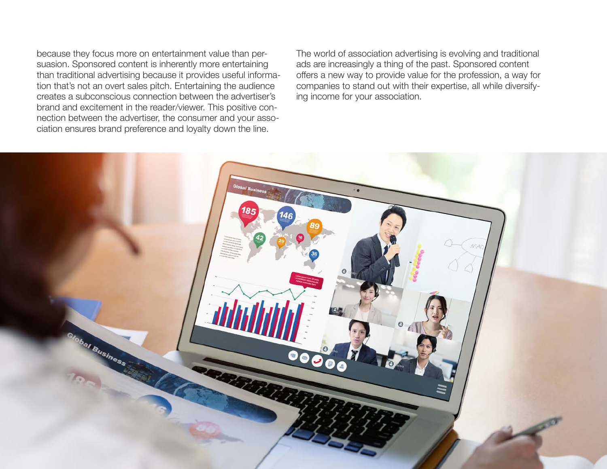because they focus more on entertainment value than persuasion. Sponsored content is inherently more entertaining than traditional advertising because it provides useful information that's not an overt sales pitch. Entertaining the audience creates a subconscious connection between the advertiser's brand and excitement in the reader/viewer. This positive connection between the advertiser, the consumer and your association ensures brand preference and loyalty down the line.

The world of association advertising is evolving and traditional ads are increasingly a thing of the past. Sponsored content offers a new way to provide value for the profession, a way for companies to stand out with their expertise, all while diversifying income for your association.

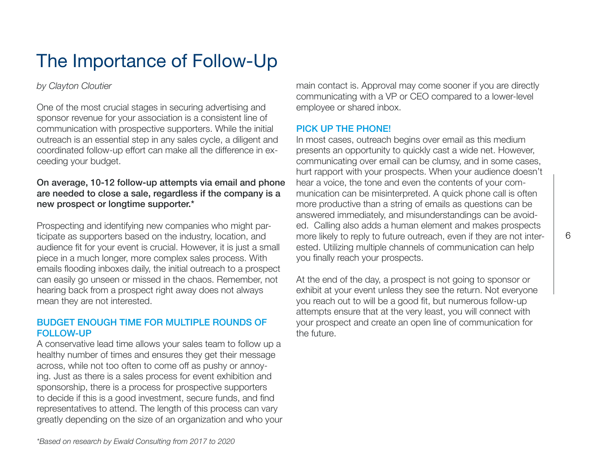# <span id="page-6-0"></span>The Importance of Follow-Up

#### *by Clayton Cloutier*

One of the most crucial stages in securing advertising and sponsor revenue for your association is a consistent line of communication with prospective supporters. While the initial outreach is an essential step in any sales cycle, a diligent and coordinated follow-up effort can make all the difference in exceeding your budget.

#### On average, 10-12 follow-up attempts via email and phone are needed to close a sale, regardless if the company is a new prospect or longtime supporter.\*

Prospecting and identifying new companies who might participate as supporters based on the industry, location, and audience fit for your event is crucial. However, it is just a small piece in a much longer, more complex sales process. With emails flooding inboxes daily, the initial outreach to a prospect can easily go unseen or missed in the chaos. Remember, not hearing back from a prospect right away does not always mean they are not interested.

#### BUDGET ENOUGH TIME FOR MULTIPLE ROUNDS OF FOLLOW-UP

A conservative lead time allows your sales team to follow up a healthy number of times and ensures they get their message across, while not too often to come off as pushy or annoying. Just as there is a sales process for event exhibition and sponsorship, there is a process for prospective supporters to decide if this is a good investment, secure funds, and find representatives to attend. The length of this process can vary greatly depending on the size of an organization and who your main contact is. Approval may come sooner if you are directly communicating with a VP or CEO compared to a lower-level employee or shared inbox.

#### PICK UP THE PHONE!

In most cases, outreach begins over email as this medium presents an opportunity to quickly cast a wide net. However, communicating over email can be clumsy, and in some cases, hurt rapport with your prospects. When your audience doesn't hear a voice, the tone and even the contents of your communication can be misinterpreted. A quick phone call is often more productive than a string of emails as questions can be answered immediately, and misunderstandings can be avoided. Calling also adds a human element and makes prospects more likely to reply to future outreach, even if they are not interested. Utilizing multiple channels of communication can help you finally reach your prospects.

At the end of the day, a prospect is not going to sponsor or exhibit at your event unless they see the return. Not everyone you reach out to will be a good fit, but numerous follow-up attempts ensure that at the very least, you will connect with your prospect and create an open line of communication for the future.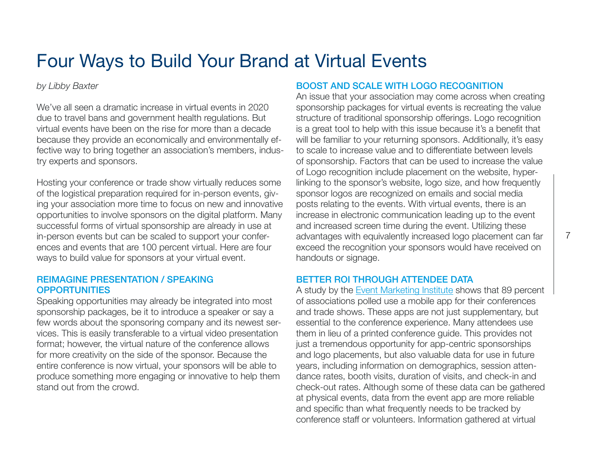# <span id="page-7-0"></span>Four Ways to Build Your Brand at Virtual Events

*by Libby Baxter* 

We've all seen a dramatic increase in virtual events in 2020 due to travel bans and government health regulations. But virtual events have been on the rise for more than a decade because they provide an economically and environmentally effective way to bring together an association's members, industry experts and sponsors.

Hosting your conference or trade show virtually reduces some of the logistical preparation required for in-person events, giving your association more time to focus on new and innovative opportunities to involve sponsors on the digital platform. Many successful forms of virtual sponsorship are already in use at in-person events but can be scaled to support your conferences and events that are 100 percent virtual. Here are four ways to build value for sponsors at your virtual event.

#### REIMAGINE PRESENTATION / SPEAKING **OPPORTUNITIES**

Speaking opportunities may already be integrated into most sponsorship packages, be it to introduce a speaker or say a few words about the sponsoring company and its newest services. This is easily transferable to a virtual video presentation format; however, the virtual nature of the conference allows for more creativity on the side of the sponsor. Because the entire conference is now virtual, your sponsors will be able to produce something more engaging or innovative to help them stand out from the crowd.

#### BOOST AND SCALE WITH LOGO RECOGNITION

An issue that your association may come across when creating sponsorship packages for virtual events is recreating the value structure of traditional sponsorship offerings. Logo recognition is a great tool to help with this issue because it's a benefit that will be familiar to your returning sponsors. Additionally, it's easy to scale to increase value and to differentiate between levels of sponsorship. Factors that can be used to increase the value of Logo recognition include placement on the website, hyperlinking to the sponsor's website, logo size, and how frequently sponsor logos are recognized on emails and social media posts relating to the events. With virtual events, there is an increase in electronic communication leading up to the event and increased screen time during the event. Utilizing these advantages with equivalently increased logo placement can far exceed the recognition your sponsors would have received on handouts or signage.

#### BETTER ROI THROUGH ATTENDEE DATA

A study by the [Event Marketing Institute](https://www.eventmanagerblog.com/event-planner-salary) shows that 89 percent of associations polled use a mobile app for their conferences and trade shows. These apps are not just supplementary, but essential to the conference experience. Many attendees use them in lieu of a printed conference guide. This provides not just a tremendous opportunity for app-centric sponsorships and logo placements, but also valuable data for use in future years, including information on demographics, session attendance rates, booth visits, duration of visits, and check-in and check-out rates. Although some of these data can be gathered at physical events, data from the event app are more reliable and specific than what frequently needs to be tracked by conference staff or volunteers. Information gathered at virtual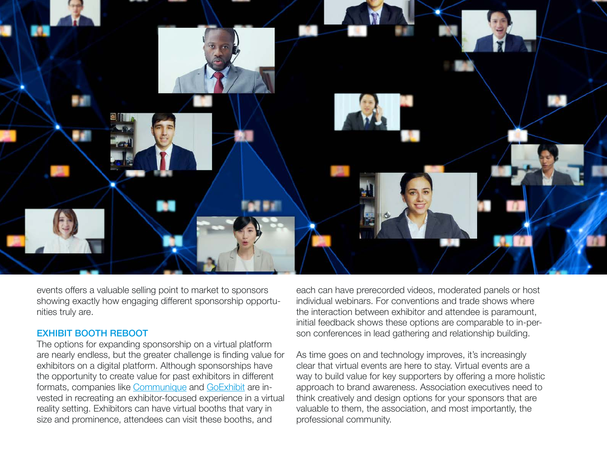

events offers a valuable selling point to market to sponsors showing exactly how engaging different sponsorship opportunities truly are.

#### EXHIBIT BOOTH REBOOT

The options for expanding sponsorship on a virtual platform are nearly endless, but the greater challenge is finding value for exhibitors on a digital platform. Although sponsorships have the opportunity to create value for past exhibitors in different formats, companies like [Communique](https://www.communiqueconferencing.com/) and [GoExhibit](https://www.goexhibit.com/) are invested in recreating an exhibitor-focused experience in a virtual reality setting. Exhibitors can have virtual booths that vary in size and prominence, attendees can visit these booths, and

each can have prerecorded videos, moderated panels or host individual webinars. For conventions and trade shows where the interaction between exhibitor and attendee is paramount, initial feedback shows these options are comparable to in-person conferences in lead gathering and relationship building.

As time goes on and technology improves, it's increasingly clear that virtual events are here to stay. Virtual events are a way to build value for key supporters by offering a more holistic approach to brand awareness. Association executives need to think creatively and design options for your sponsors that are valuable to them, the association, and most importantly, the professional community.